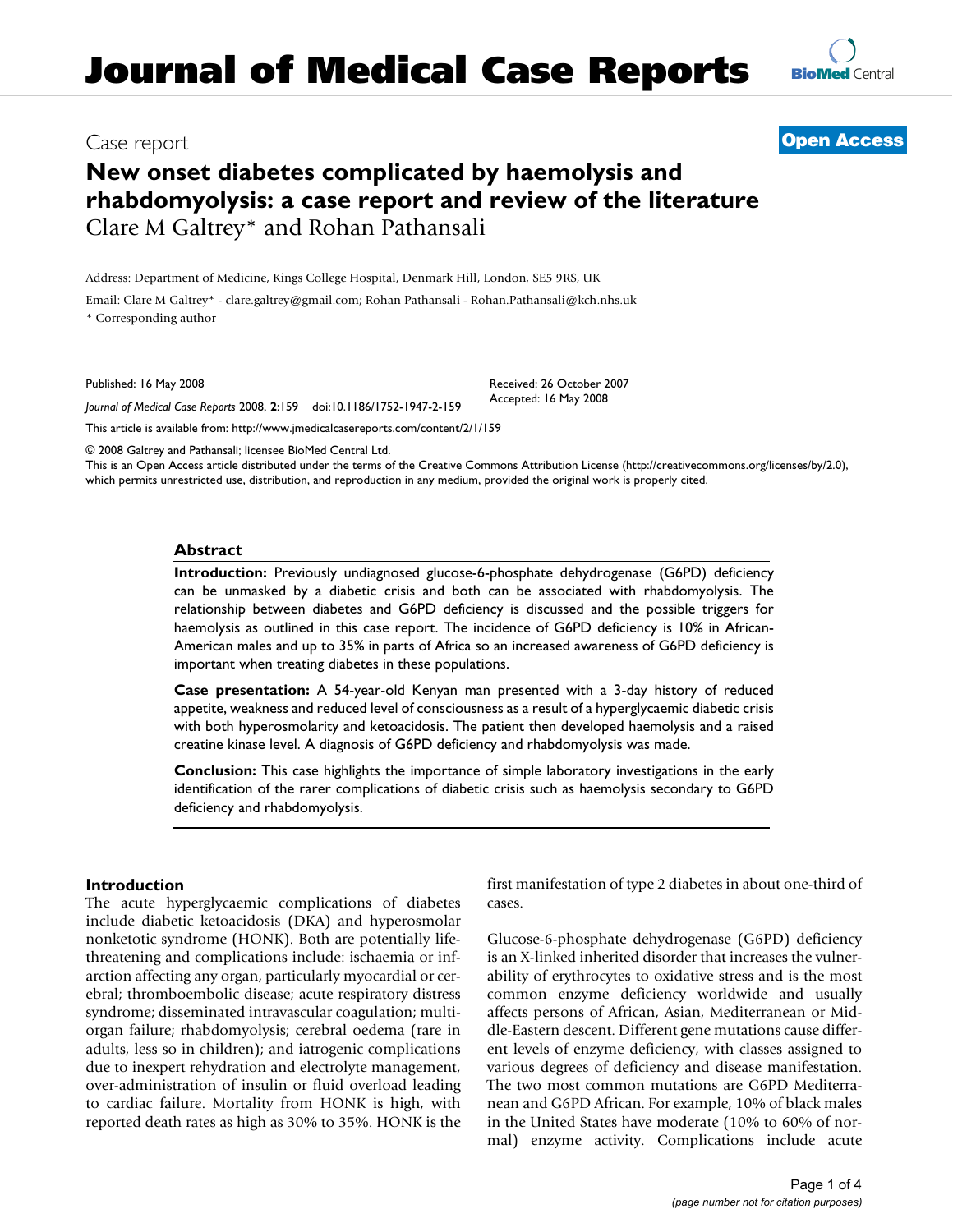## Case report **[Open Access](http://www.biomedcentral.com/info/about/charter/)**

**[BioMed](http://www.biomedcentral.com/)** Central

# **New onset diabetes complicated by haemolysis and rhabdomyolysis: a case report and review of the literature** Clare M Galtrey\* and Rohan Pathansali

Address: Department of Medicine, Kings College Hospital, Denmark Hill, London, SE5 9RS, UK

Email: Clare M Galtrey\* - clare.galtrey@gmail.com; Rohan Pathansali - Rohan.Pathansali@kch.nhs.uk \* Corresponding author

Published: 16 May 2008

*Journal of Medical Case Reports* 2008, **2**:159 doi:10.1186/1752-1947-2-159

[This article is available from: http://www.jmedicalcasereports.com/content/2/1/159](http://www.jmedicalcasereports.com/content/2/1/159)

© 2008 Galtrey and Pathansali; licensee BioMed Central Ltd.

This is an Open Access article distributed under the terms of the Creative Commons Attribution License [\(http://creativecommons.org/licenses/by/2.0\)](http://creativecommons.org/licenses/by/2.0), which permits unrestricted use, distribution, and reproduction in any medium, provided the original work is properly cited.

Received: 26 October 2007 Accepted: 16 May 2008

#### **Abstract**

**Introduction:** Previously undiagnosed glucose-6-phosphate dehydrogenase (G6PD) deficiency can be unmasked by a diabetic crisis and both can be associated with rhabdomyolysis. The relationship between diabetes and G6PD deficiency is discussed and the possible triggers for haemolysis as outlined in this case report. The incidence of G6PD deficiency is 10% in African-American males and up to 35% in parts of Africa so an increased awareness of G6PD deficiency is important when treating diabetes in these populations.

**Case presentation:** A 54-year-old Kenyan man presented with a 3-day history of reduced appetite, weakness and reduced level of consciousness as a result of a hyperglycaemic diabetic crisis with both hyperosmolarity and ketoacidosis. The patient then developed haemolysis and a raised creatine kinase level. A diagnosis of G6PD deficiency and rhabdomyolysis was made.

**Conclusion:** This case highlights the importance of simple laboratory investigations in the early identification of the rarer complications of diabetic crisis such as haemolysis secondary to G6PD deficiency and rhabdomyolysis.

#### **Introduction**

The acute hyperglycaemic complications of diabetes include diabetic ketoacidosis (DKA) and hyperosmolar nonketotic syndrome (HONK). Both are potentially lifethreatening and complications include: ischaemia or infarction affecting any organ, particularly myocardial or cerebral; thromboembolic disease; acute respiratory distress syndrome; disseminated intravascular coagulation; multiorgan failure; rhabdomyolysis; cerebral oedema (rare in adults, less so in children); and iatrogenic complications due to inexpert rehydration and electrolyte management, over-administration of insulin or fluid overload leading to cardiac failure. Mortality from HONK is high, with reported death rates as high as 30% to 35%. HONK is the first manifestation of type 2 diabetes in about one-third of cases.

Glucose-6-phosphate dehydrogenase (G6PD) deficiency is an X-linked inherited disorder that increases the vulnerability of erythrocytes to oxidative stress and is the most common enzyme deficiency worldwide and usually affects persons of African, Asian, Mediterranean or Middle-Eastern descent. Different gene mutations cause different levels of enzyme deficiency, with classes assigned to various degrees of deficiency and disease manifestation. The two most common mutations are G6PD Mediterranean and G6PD African. For example, 10% of black males in the United States have moderate (10% to 60% of normal) enzyme activity. Complications include acute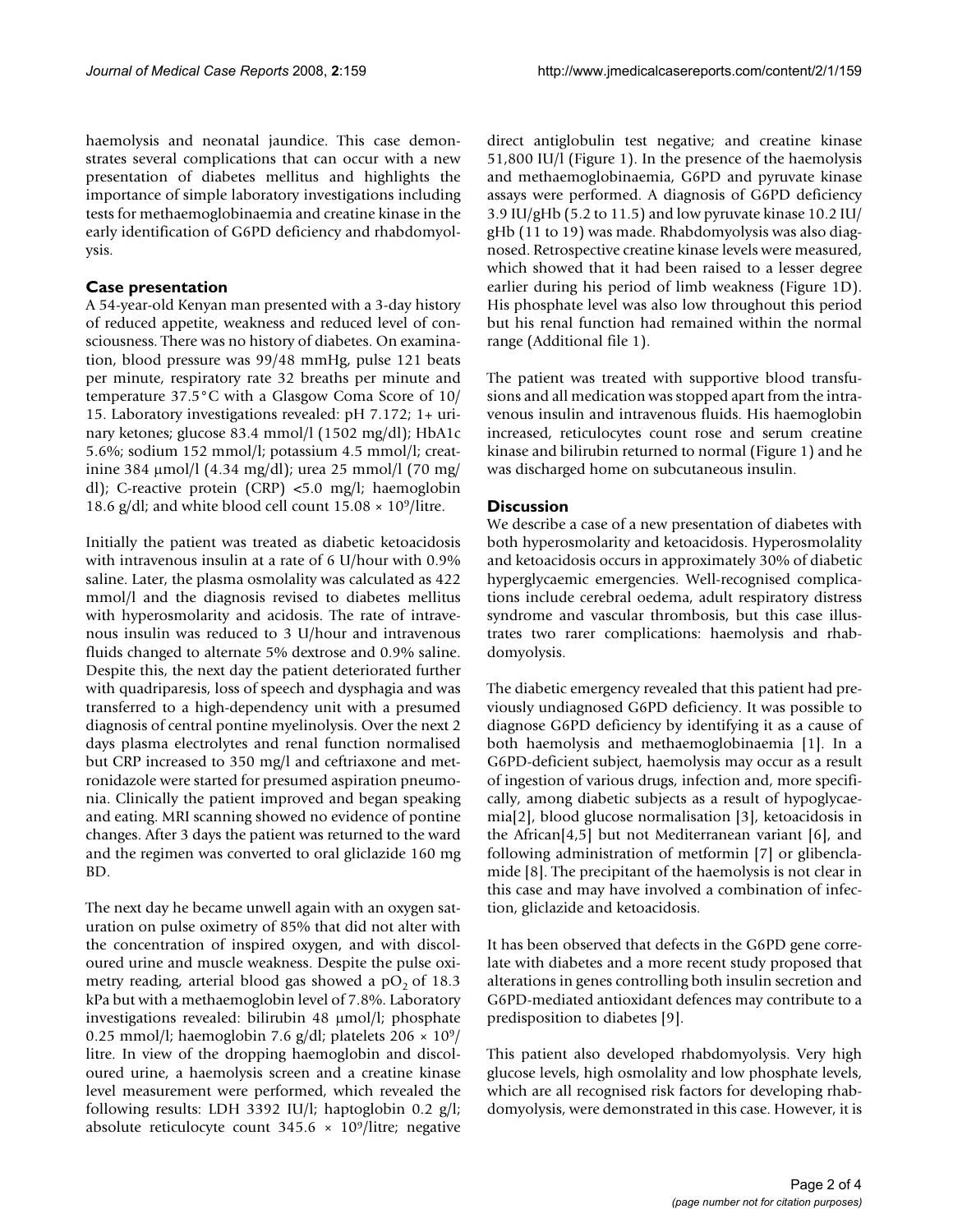haemolysis and neonatal jaundice. This case demonstrates several complications that can occur with a new presentation of diabetes mellitus and highlights the importance of simple laboratory investigations including tests for methaemoglobinaemia and creatine kinase in the early identification of G6PD deficiency and rhabdomyolysis.

### **Case presentation**

A 54-year-old Kenyan man presented with a 3-day history of reduced appetite, weakness and reduced level of consciousness. There was no history of diabetes. On examination, blood pressure was 99/48 mmHg, pulse 121 beats per minute, respiratory rate 32 breaths per minute and temperature 37.5°C with a Glasgow Coma Score of 10/ 15. Laboratory investigations revealed: pH 7.172; 1+ urinary ketones; glucose 83.4 mmol/l (1502 mg/dl); HbA1c 5.6%; sodium 152 mmol/l; potassium 4.5 mmol/l; creatinine 384 μmol/l (4.34 mg/dl); urea 25 mmol/l (70 mg/ dl); C-reactive protein (CRP) <5.0 mg/l; haemoglobin 18.6 g/dl; and white blood cell count  $15.08 \times 10^9$ /litre.

Initially the patient was treated as diabetic ketoacidosis with intravenous insulin at a rate of 6 U/hour with 0.9% saline. Later, the plasma osmolality was calculated as 422 mmol/l and the diagnosis revised to diabetes mellitus with hyperosmolarity and acidosis. The rate of intravenous insulin was reduced to 3 U/hour and intravenous fluids changed to alternate 5% dextrose and 0.9% saline. Despite this, the next day the patient deteriorated further with quadriparesis, loss of speech and dysphagia and was transferred to a high-dependency unit with a presumed diagnosis of central pontine myelinolysis. Over the next 2 days plasma electrolytes and renal function normalised but CRP increased to 350 mg/l and ceftriaxone and metronidazole were started for presumed aspiration pneumonia. Clinically the patient improved and began speaking and eating. MRI scanning showed no evidence of pontine changes. After 3 days the patient was returned to the ward and the regimen was converted to oral gliclazide 160 mg BD.

The next day he became unwell again with an oxygen saturation on pulse oximetry of 85% that did not alter with the concentration of inspired oxygen, and with discoloured urine and muscle weakness. Despite the pulse oximetry reading, arterial blood gas showed a  $pO<sub>2</sub>$  of 18.3 kPa but with a methaemoglobin level of 7.8%. Laboratory investigations revealed: bilirubin 48 μmol/l; phosphate 0.25 mmol/l; haemoglobin 7.6 g/dl; platelets  $206 \times 10^9$ / litre. In view of the dropping haemoglobin and discoloured urine, a haemolysis screen and a creatine kinase level measurement were performed, which revealed the following results: LDH 3392 IU/l; haptoglobin 0.2 g/l; absolute reticulocyte count  $345.6 \times 10^9$ /litre; negative direct antiglobulin test negative; and creatine kinase 51,800 IU/l (Figure 1). In the presence of the haemolysis and methaemoglobinaemia, G6PD and pyruvate kinase assays were performed. A diagnosis of G6PD deficiency 3.9 IU/gHb (5.2 to 11.5) and low pyruvate kinase 10.2 IU/ gHb (11 to 19) was made. Rhabdomyolysis was also diagnosed. Retrospective creatine kinase levels were measured, which showed that it had been raised to a lesser degree earlier during his period of limb weakness (Figure 1D). His phosphate level was also low throughout this period but his renal function had remained within the normal range (Additional file 1).

The patient was treated with supportive blood transfusions and all medication was stopped apart from the intravenous insulin and intravenous fluids. His haemoglobin increased, reticulocytes count rose and serum creatine kinase and bilirubin returned to normal (Figure 1) and he was discharged home on subcutaneous insulin.

#### **Discussion**

We describe a case of a new presentation of diabetes with both hyperosmolarity and ketoacidosis. Hyperosmolality and ketoacidosis occurs in approximately 30% of diabetic hyperglycaemic emergencies. Well-recognised complications include cerebral oedema, adult respiratory distress syndrome and vascular thrombosis, but this case illustrates two rarer complications: haemolysis and rhabdomyolysis.

The diabetic emergency revealed that this patient had previously undiagnosed G6PD deficiency. It was possible to diagnose G6PD deficiency by identifying it as a cause of both haemolysis and methaemoglobinaemia [1]. In a G6PD-deficient subject, haemolysis may occur as a result of ingestion of various drugs, infection and, more specifically, among diabetic subjects as a result of hypoglycaemia[2], blood glucose normalisation [3], ketoacidosis in the African[4,5] but not Mediterranean variant [6], and following administration of metformin [7] or glibenclamide [8]. The precipitant of the haemolysis is not clear in this case and may have involved a combination of infection, gliclazide and ketoacidosis.

It has been observed that defects in the G6PD gene correlate with diabetes and a more recent study proposed that alterations in genes controlling both insulin secretion and G6PD-mediated antioxidant defences may contribute to a predisposition to diabetes [9].

This patient also developed rhabdomyolysis. Very high glucose levels, high osmolality and low phosphate levels, which are all recognised risk factors for developing rhabdomyolysis, were demonstrated in this case. However, it is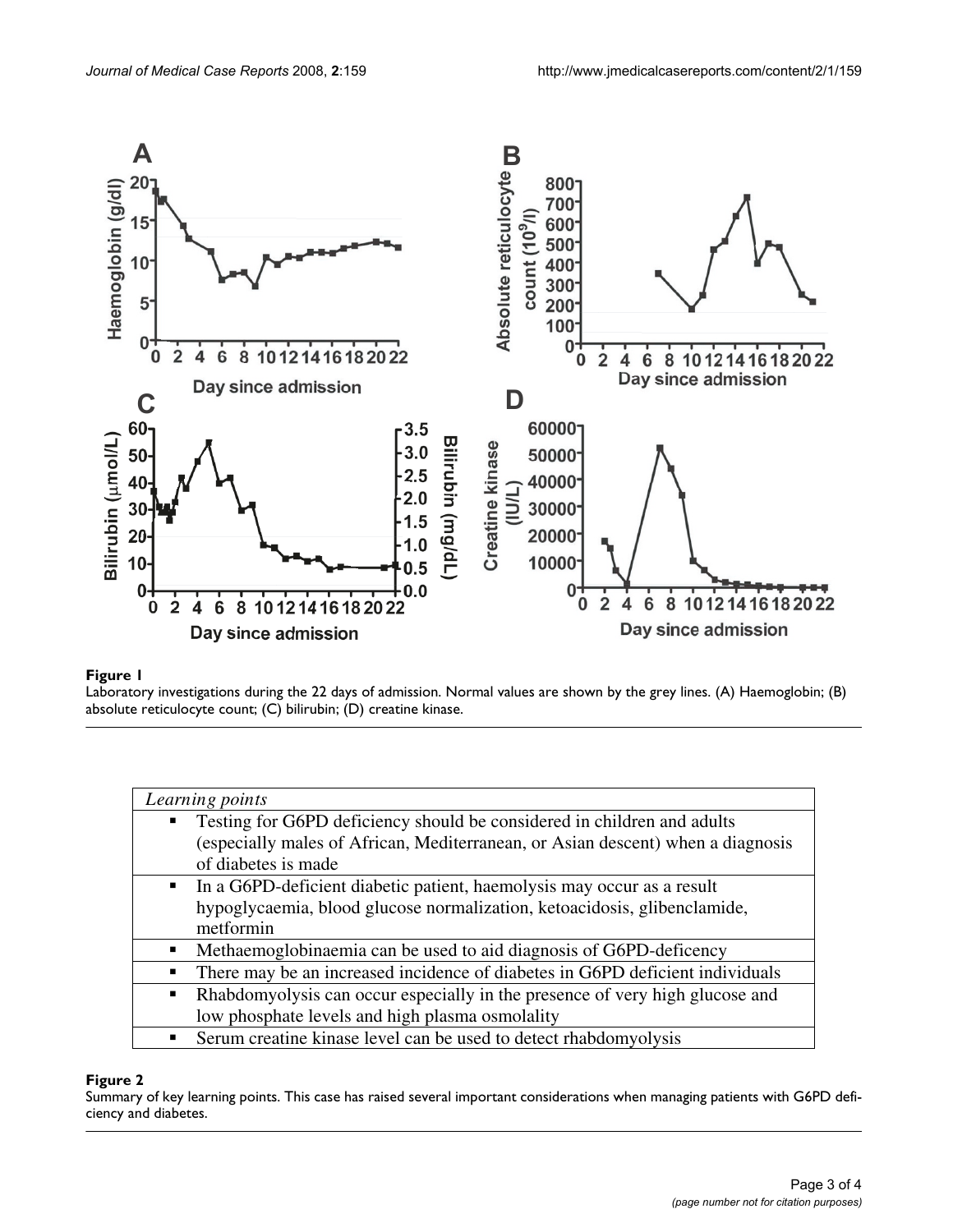

### Figure 1

Laboratory investigations during the 22 days of admission. Normal values are shown by the grey lines. (A) Haemoglobin; (B) absolute reticulocyte count; (C) bilirubin; (D) creatine kinase.

| Learning points                                                                                |
|------------------------------------------------------------------------------------------------|
| Testing for G6PD deficiency should be considered in children and adults<br>$\blacksquare$      |
| (especially males of African, Mediterranean, or Asian descent) when a diagnosis                |
| of diabetes is made                                                                            |
| In a G6PD-deficient diabetic patient, haemolysis may occur as a result<br>$\blacksquare$       |
| hypoglycaemia, blood glucose normalization, ketoacidosis, glibenclamide,                       |
| metformin                                                                                      |
| Methaemoglobinaemia can be used to aid diagnosis of G6PD-deficency<br>$\blacksquare$           |
| There may be an increased incidence of diabetes in G6PD deficient individuals<br>٠             |
| Rhabdomyolysis can occur especially in the presence of very high glucose and<br>$\blacksquare$ |
| low phosphate levels and high plasma osmolality                                                |
| Serum creatine kinase level can be used to detect rhabdomyolysis<br>п                          |

#### **Figure 2**

Summary of key learning points. This case has raised several important considerations when managing patients with G6PD deficiency and diabetes.